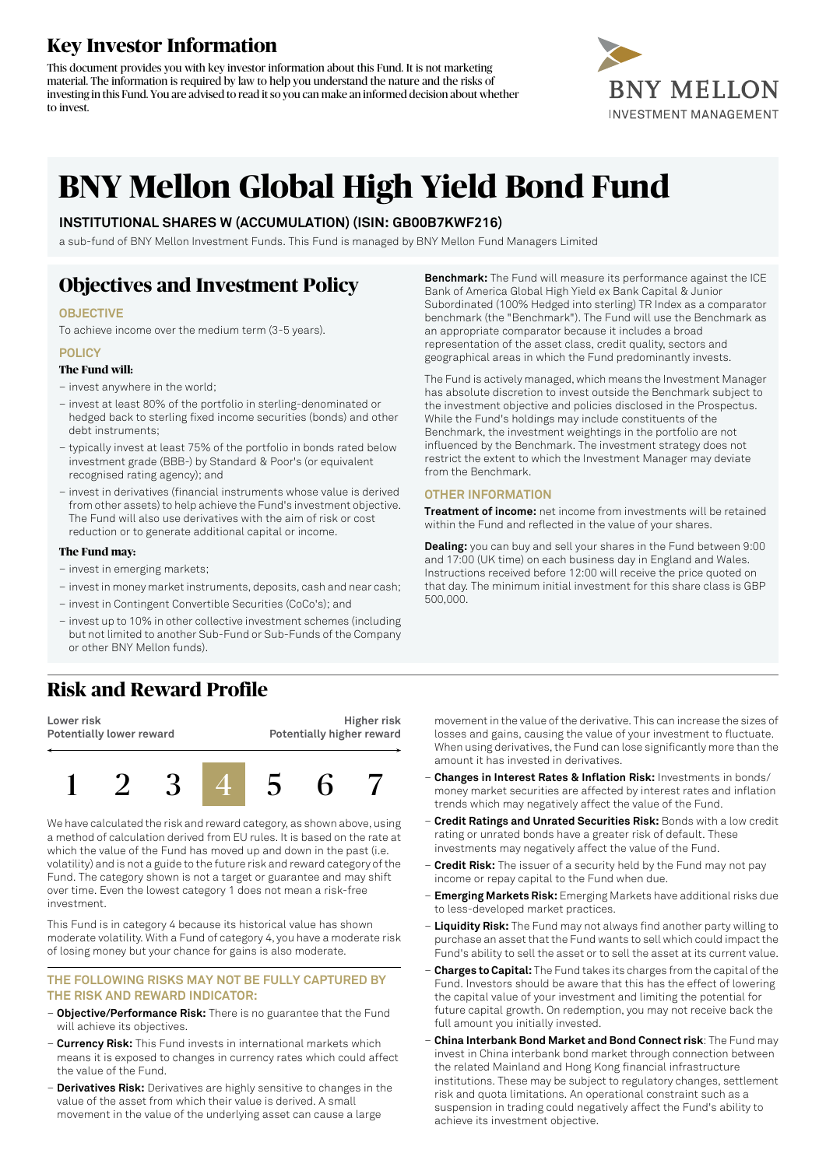# **Key Investor Information**

This document provides you with key investor information about this Fund. It is not marketing material. The information is required by law to help you understand the nature and the risks of investing in this Fund. You are advised to read it so you can make an informed decision about whether to invest.



# **BNY Mellon Global High Yield Bond Fund**

### **INSTITUTIONAL SHARES W (ACCUMULATION) (ISIN: GB00B7KWF216)**

a sub-fund of BNY Mellon Investment Funds. This Fund is managed by BNY Mellon Fund Managers Limited

# **Objectives and Investment Policy**

### **OBJECTIVE**

To achieve income over the medium term (3-5 years).

#### **POLICY**

### **The Fund will:**

– invest anywhere in the world;

- invest at least 80% of the portfolio in sterling-denominated or hedged back to sterling fixed income securities (bonds) and other debt instruments;
- typically invest at least 75% of the portfolio in bonds rated below investment grade (BBB-) by Standard & Poor's (or equivalent recognised rating agency); and
- invest in derivatives (financial instruments whose value is derived from other assets) to help achieve the Fund's investment objective. The Fund will also use derivatives with the aim of risk or cost reduction or to generate additional capital or income.

#### **The Fund may:**

- invest in emerging markets;
- investin money marketinstruments, deposits, cash and near cash;
- invest in Contingent Convertible Securities (CoCo's); and
- invest up to 10% in other collective investment schemes (including but not limited to another Sub-Fund or Sub-Funds of the Company or other BNY Mellon funds).

### **Risk and Reward Profile**

**Lower risk Potentially lower reward**

**Higher risk Potentially higher reward**



We have calculated the risk and reward category, as shown above, using a method of calculation derived from EU rules. It is based on the rate at which the value of the Fund has moved up and down in the past (i.e. volatility) and is not a guide to the future risk and reward category of the Fund. The category shown is not a target or guarantee and may shift over time. Even the lowest category 1 does not mean a risk-free investment.

This Fund is in category 4 because its historical value has shown moderate volatility. With a Fund of category 4, you have a moderate risk of losing money but your chance for gains is also moderate.

### **THE FOLLOWING RISKS MAY NOT BE FULLY CAPTURED BY THE RISK AND REWARD INDICATOR:**

- **Objective/Performance Risk:** There is no guarantee that the Fund will achieve its objectives.
- **Currency Risk:** This Fund invests in international markets which means it is exposed to changes in currency rates which could affect the value of the Fund.
- **Derivatives Risk:** Derivatives are highly sensitive to changes in the value of the asset from which their value is derived. A small movement in the value of the underlying asset can cause a large

**Benchmark:** The Fund will measure its performance against the ICE Bank of America Global High Yield ex Bank Capital & Junior Subordinated (100% Hedged into sterling) TR Index as a comparator benchmark (the "Benchmark"). The Fund will use the Benchmark as an appropriate comparator because it includes a broad representation of the asset class, credit quality, sectors and geographical areas in which the Fund predominantly invests.

The Fund is actively managed, which means the Investment Manager has absolute discretion to invest outside the Benchmark subject to the investment objective and policies disclosed in the Prospectus. While the Fund's holdings may include constituents of the Benchmark, the investment weightings in the portfolio are not influenced by the Benchmark. The investment strategy does not restrict the extent to which the Investment Manager may deviate from the Benchmark.

### **OTHER INFORMATION**

**Treatment of income:** net income from investments will be retained within the Fund and reflected in the value of your shares.

**Dealing:** you can buy and sell your shares in the Fund between 9:00 and 17:00 (UK time) on each business day in England and Wales. Instructions received before 12:00 will receive the price quoted on that day. The minimum initial investment for this share class is GBP 500,000.

movement in the value of the derivative. This can increase the sizes of losses and gains, causing the value of your investment to fluctuate. When using derivatives, the Fund can lose significantly more than the amount it has invested in derivatives.

- **Changes in Interest Rates & Inflation Risk:** Investments in bonds/ money market securities are affected by interest rates and inflation trends which may negatively affect the value of the Fund.
- **Credit Ratings and Unrated Securities Risk:** Bonds with a low credit rating or unrated bonds have a greater risk of default. These investments may negatively affect the value of the Fund.
- **Credit Risk:** The issuer of a security held by the Fund may not pay income or repay capital to the Fund when due.
- **Emerging Markets Risk:** Emerging Markets have additional risks due to less-developed market practices.
- **Liquidity Risk:** The Fund may not always find another party willing to purchase an asset that the Fund wants to sell which could impact the Fund's ability to sell the asset or to sell the asset at its current value.
- **Charges to Capital:** The Fund takes its charges from the capital ofthe Fund. Investors should be aware that this has the effect of lowering the capital value of your investment and limiting the potential for future capital growth. On redemption, you may not receive back the full amount you initially invested.
- **China Interbank Bond Market and Bond Connect risk**: The Fund may invest in China interbank bond market through connection between the related Mainland and Hong Kong financial infrastructure institutions. These may be subject to regulatory changes, settlement risk and quota limitations. An operational constraint such as a suspension in trading could negatively affect the Fund's ability to achieve its investment objective.